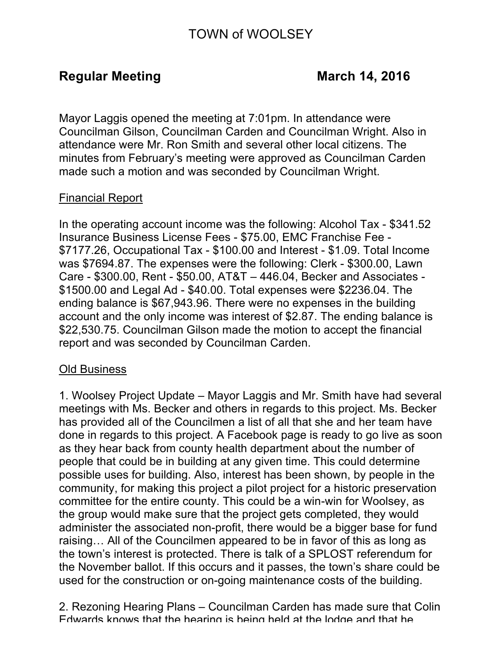# TOWN of WOOLSEY

Mayor Laggis opened the meeting at 7:01pm. In attendance were Councilman Gilson, Councilman Carden and Councilman Wright. Also in attendance were Mr. Ron Smith and several other local citizens. The minutes from February's meeting were approved as Councilman Carden made such a motion and was seconded by Councilman Wright.

## Financial Report

In the operating account income was the following: Alcohol Tax - \$341.52 Insurance Business License Fees - \$75.00, EMC Franchise Fee - \$7177.26, Occupational Tax - \$100.00 and Interest - \$1.09. Total Income was \$7694.87. The expenses were the following: Clerk - \$300.00, Lawn Care - \$300.00, Rent - \$50.00, AT&T – 446.04, Becker and Associates - \$1500.00 and Legal Ad - \$40.00. Total expenses were \$2236.04. The ending balance is \$67,943.96. There were no expenses in the building account and the only income was interest of \$2.87. The ending balance is \$22,530.75. Councilman Gilson made the motion to accept the financial report and was seconded by Councilman Carden.

### Old Business

1. Woolsey Project Update – Mayor Laggis and Mr. Smith have had several meetings with Ms. Becker and others in regards to this project. Ms. Becker has provided all of the Councilmen a list of all that she and her team have done in regards to this project. A Facebook page is ready to go live as soon as they hear back from county health department about the number of people that could be in building at any given time. This could determine possible uses for building. Also, interest has been shown, by people in the community, for making this project a pilot project for a historic preservation committee for the entire county. This could be a win-win for Woolsey, as the group would make sure that the project gets completed, they would administer the associated non-profit, there would be a bigger base for fund raising… All of the Councilmen appeared to be in favor of this as long as the town's interest is protected. There is talk of a SPLOST referendum for the November ballot. If this occurs and it passes, the town's share could be used for the construction or on-going maintenance costs of the building.

2. Rezoning Hearing Plans – Councilman Carden has made sure that Colin Edwards knows that the hearing is being held at the lodge and that he